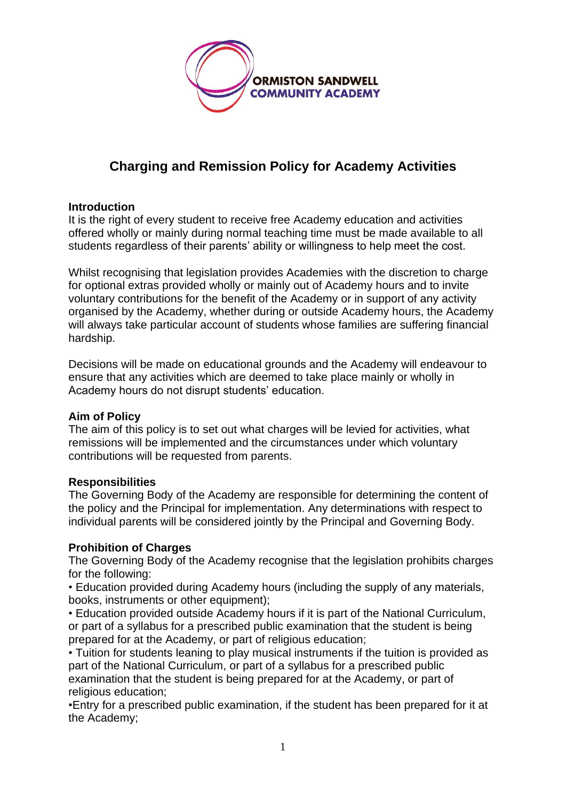

# **Charging and Remission Policy for Academy Activities**

# **Introduction**

It is the right of every student to receive free Academy education and activities offered wholly or mainly during normal teaching time must be made available to all students regardless of their parents' ability or willingness to help meet the cost.

Whilst recognising that legislation provides Academies with the discretion to charge for optional extras provided wholly or mainly out of Academy hours and to invite voluntary contributions for the benefit of the Academy or in support of any activity organised by the Academy, whether during or outside Academy hours, the Academy will always take particular account of students whose families are suffering financial hardship.

Decisions will be made on educational grounds and the Academy will endeavour to ensure that any activities which are deemed to take place mainly or wholly in Academy hours do not disrupt students' education.

## **Aim of Policy**

The aim of this policy is to set out what charges will be levied for activities, what remissions will be implemented and the circumstances under which voluntary contributions will be requested from parents.

## **Responsibilities**

The Governing Body of the Academy are responsible for determining the content of the policy and the Principal for implementation. Any determinations with respect to individual parents will be considered jointly by the Principal and Governing Body.

# **Prohibition of Charges**

The Governing Body of the Academy recognise that the legislation prohibits charges for the following:

• Education provided during Academy hours (including the supply of any materials, books, instruments or other equipment);

• Education provided outside Academy hours if it is part of the National Curriculum, or part of a syllabus for a prescribed public examination that the student is being prepared for at the Academy, or part of religious education;

• Tuition for students leaning to play musical instruments if the tuition is provided as part of the National Curriculum, or part of a syllabus for a prescribed public examination that the student is being prepared for at the Academy, or part of religious education;

•Entry for a prescribed public examination, if the student has been prepared for it at the Academy;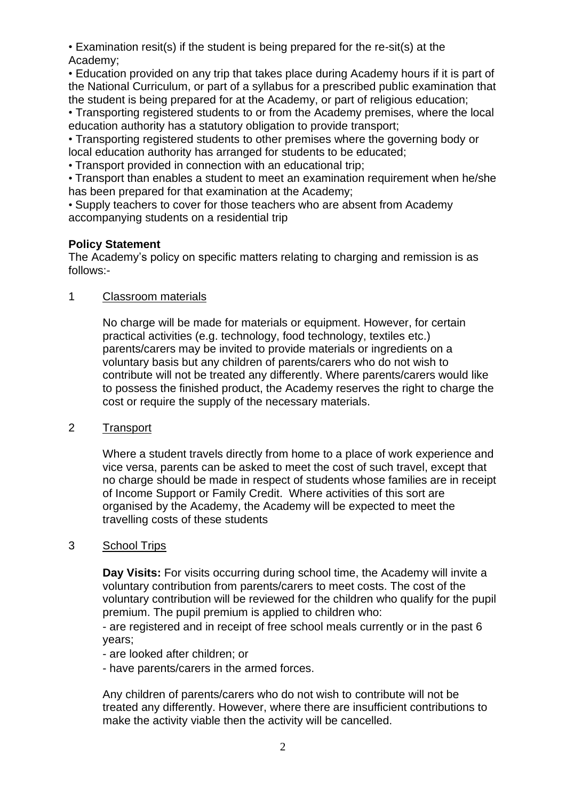• Examination resit(s) if the student is being prepared for the re-sit(s) at the Academy;

• Education provided on any trip that takes place during Academy hours if it is part of the National Curriculum, or part of a syllabus for a prescribed public examination that the student is being prepared for at the Academy, or part of religious education;

• Transporting registered students to or from the Academy premises, where the local education authority has a statutory obligation to provide transport;

• Transporting registered students to other premises where the governing body or local education authority has arranged for students to be educated;

• Transport provided in connection with an educational trip;

• Transport than enables a student to meet an examination requirement when he/she has been prepared for that examination at the Academy;

• Supply teachers to cover for those teachers who are absent from Academy accompanying students on a residential trip

# **Policy Statement**

The Academy's policy on specific matters relating to charging and remission is as follows:-

# 1 Classroom materials

No charge will be made for materials or equipment. However, for certain practical activities (e.g. technology, food technology, textiles etc.) parents/carers may be invited to provide materials or ingredients on a voluntary basis but any children of parents/carers who do not wish to contribute will not be treated any differently. Where parents/carers would like to possess the finished product, the Academy reserves the right to charge the cost or require the supply of the necessary materials.

## 2 Transport

Where a student travels directly from home to a place of work experience and vice versa, parents can be asked to meet the cost of such travel, except that no charge should be made in respect of students whose families are in receipt of Income Support or Family Credit. Where activities of this sort are organised by the Academy, the Academy will be expected to meet the travelling costs of these students

## 3 School Trips

**Day Visits:** For visits occurring during school time, the Academy will invite a voluntary contribution from parents/carers to meet costs. The cost of the voluntary contribution will be reviewed for the children who qualify for the pupil premium. The pupil premium is applied to children who:

- are registered and in receipt of free school meals currently or in the past 6 years;

- are looked after children; or

- have parents/carers in the armed forces.

Any children of parents/carers who do not wish to contribute will not be treated any differently. However, where there are insufficient contributions to make the activity viable then the activity will be cancelled.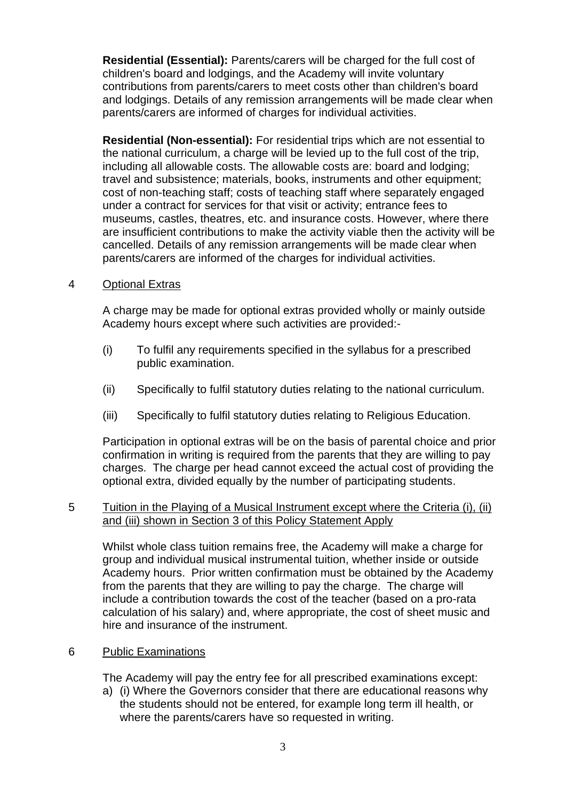**Residential (Essential):** Parents/carers will be charged for the full cost of children's board and lodgings, and the Academy will invite voluntary contributions from parents/carers to meet costs other than children's board and lodgings. Details of any remission arrangements will be made clear when parents/carers are informed of charges for individual activities.

**Residential (Non-essential):** For residential trips which are not essential to the national curriculum, a charge will be levied up to the full cost of the trip, including all allowable costs. The allowable costs are: board and lodging; travel and subsistence; materials, books, instruments and other equipment; cost of non-teaching staff; costs of teaching staff where separately engaged under a contract for services for that visit or activity; entrance fees to museums, castles, theatres, etc. and insurance costs. However, where there are insufficient contributions to make the activity viable then the activity will be cancelled. Details of any remission arrangements will be made clear when parents/carers are informed of the charges for individual activities.

#### 4 Optional Extras

A charge may be made for optional extras provided wholly or mainly outside Academy hours except where such activities are provided:-

- (i) To fulfil any requirements specified in the syllabus for a prescribed public examination.
- (ii) Specifically to fulfil statutory duties relating to the national curriculum.
- (iii) Specifically to fulfil statutory duties relating to Religious Education.

Participation in optional extras will be on the basis of parental choice and prior confirmation in writing is required from the parents that they are willing to pay charges. The charge per head cannot exceed the actual cost of providing the optional extra, divided equally by the number of participating students.

#### 5 Tuition in the Playing of a Musical Instrument except where the Criteria (i), (ii) and (iii) shown in Section 3 of this Policy Statement Apply

Whilst whole class tuition remains free, the Academy will make a charge for group and individual musical instrumental tuition, whether inside or outside Academy hours. Prior written confirmation must be obtained by the Academy from the parents that they are willing to pay the charge. The charge will include a contribution towards the cost of the teacher (based on a pro-rata calculation of his salary) and, where appropriate, the cost of sheet music and hire and insurance of the instrument.

#### 6 Public Examinations

The Academy will pay the entry fee for all prescribed examinations except:

a) (i) Where the Governors consider that there are educational reasons why the students should not be entered, for example long term ill health, or where the parents/carers have so requested in writing.